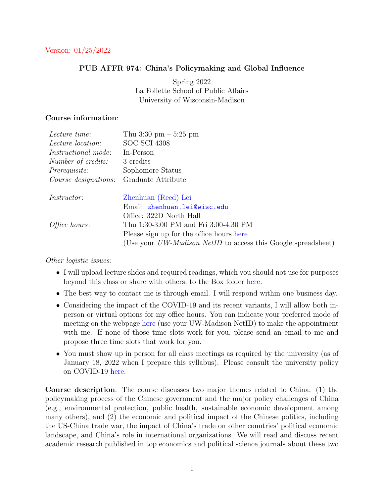### <span id="page-0-0"></span>PUB AFFR 974: China's Policymaking and Global Influence

Spring 2022 La Follette School of Public Affairs University of Wisconsin-Madison

### Course information:

| <i>Lecture time:</i>       | Thu $3:30 \text{ pm} - 5:25 \text{ pm}$  |
|----------------------------|------------------------------------------|
| <i>Lecture location:</i>   | <b>SOC SCI 4308</b>                      |
| <i>Instructional mode:</i> | In-Person                                |
| Number of credits:         | 3 credits                                |
| <i>Prerequisite:</i>       | Sophomore Status                         |
| Course designations:       | Graduate Attribute                       |
|                            |                                          |
| <i>Instructor:</i>         | Zhenhuan (Reed) Lei                      |
|                            | Email: zhenhuan.lei@wisc.edu             |
|                            | Office: 322D North Hall                  |
| <i>Office hours:</i>       | Thu 1:30-3:00 PM and Fri 3:00-4:30 PM    |
|                            | Please sign up for the office hours here |
|                            |                                          |

Other logistic issues:

- I will upload lecture slides and required readings, which you should not use for purposes beyond this class or share with others, to the Box folder [here.](https://uwmadison.box.com/s/jdekee9ok8g8fur6w8m08chd6l9b8fzj)
- The best way to contact me is through email. I will respond within one business day.
- Considering the impact of the COVID-19 and its recent variants, I will allow both inperson or virtual options for my office hours. You can indicate your preferred mode of meeting on the webpage [here](https://docs.google.com/spreadsheets/d/1D4lYw4TKh8OBcLaRjyMbPOQxSS8zcnTlFIiEN_QmvOo/edit?usp=sharing) (use your UW-Madison NetID) to make the appointment with me. If none of those time slots work for you, please send an email to me and propose three time slots that work for you.
- You must show up in person for all class meetings as required by the university (as of January 18, 2022 when I prepare this syllabus). Please consult the university policy on COVID-19 [here.](https://covidresponse.wisc.edu/)

Course description: The course discusses two major themes related to China: (1) the policymaking process of the Chinese government and the major policy challenges of China (e.g., environmental protection, public health, sustainable economic development among many others), and (2) the economic and political impact of the Chinese politics, including the US-China trade war, the impact of China's trade on other countries' political economic landscape, and China's role in international organizations. We will read and discuss recent academic research published in top economics and political science journals about these two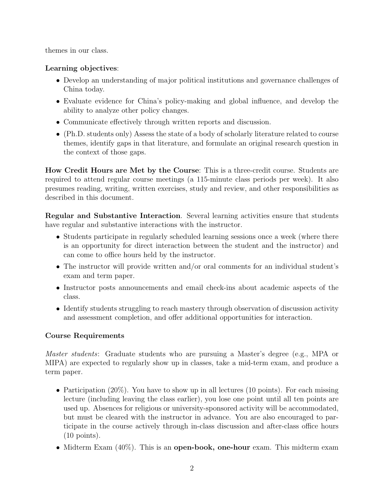themes in our class.

# Learning objectives:

- Develop an understanding of major political institutions and governance challenges of China today.
- Evaluate evidence for China's policy-making and global influence, and develop the ability to analyze other policy changes.
- Communicate effectively through written reports and discussion.
- (Ph.D. students only) Assess the state of a body of scholarly literature related to course themes, identify gaps in that literature, and formulate an original research question in the context of those gaps.

How Credit Hours are Met by the Course: This is a three-credit course. Students are required to attend regular course meetings (a 115-minute class periods per week). It also presumes reading, writing, written exercises, study and review, and other responsibilities as described in this document.

Regular and Substantive Interaction. Several learning activities ensure that students have regular and substantive interactions with the instructor.

- Students participate in regularly scheduled learning sessions once a week (where there is an opportunity for direct interaction between the student and the instructor) and can come to office hours held by the instructor.
- The instructor will provide written and/or oral comments for an individual student's exam and term paper.
- Instructor posts announcements and email check-ins about academic aspects of the class.
- Identify students struggling to reach mastery through observation of discussion activity and assessment completion, and offer additional opportunities for interaction.

# Course Requirements

Master students: Graduate students who are pursuing a Master's degree (e.g., MPA or MIPA) are expected to regularly show up in classes, take a mid-term exam, and produce a term paper.

- Participation  $(20\%)$ . You have to show up in all lectures  $(10 \text{ points})$ . For each missing lecture (including leaving the class earlier), you lose one point until all ten points are used up. Absences for religious or university-sponsored activity will be accommodated, but must be cleared with the instructor in advance. You are also encouraged to participate in the course actively through in-class discussion and after-class office hours (10 points).
- Midterm Exam  $(40\%)$ . This is an open-book, one-hour exam. This midterm exam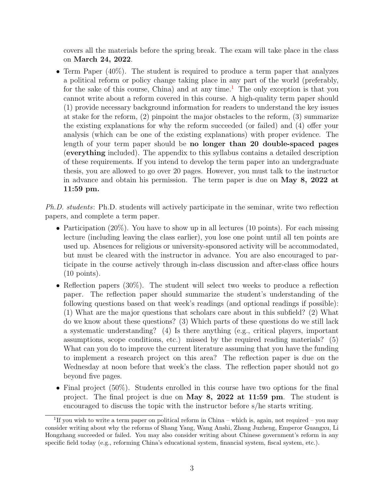covers all the materials before the spring break. The exam will take place in the class on March 24, 2022.

• Term Paper (40%). The student is required to produce a term paper that analyzes a political reform or policy change taking place in any part of the world (preferably, for the sake of this course, China) and at any time.<sup>[1](#page-0-0)</sup> The only exception is that you cannot write about a reform covered in this course. A high-quality term paper should (1) provide necessary background information for readers to understand the key issues at stake for the reform, (2) pinpoint the major obstacles to the reform, (3) summarize the existing explanations for why the reform succeeded (or failed) and (4) offer your analysis (which can be one of the existing explanations) with proper evidence. The length of your term paper should be no longer than 20 double-spaced pages (everything included). The appendix to this syllabus contains a detailed description of these requirements. If you intend to develop the term paper into an undergraduate thesis, you are allowed to go over 20 pages. However, you must talk to the instructor in advance and obtain his permission. The term paper is due on May 8, 2022 at 11:59 pm.

Ph.D. students: Ph.D. students will actively participate in the seminar, write two reflection papers, and complete a term paper.

- Participation  $(20\%)$ . You have to show up in all lectures  $(10 \text{ points})$ . For each missing lecture (including leaving the class earlier), you lose one point until all ten points are used up. Absences for religious or university-sponsored activity will be accommodated, but must be cleared with the instructor in advance. You are also encouraged to participate in the course actively through in-class discussion and after-class office hours (10 points).
- Reflection papers (30%). The student will select two weeks to produce a reflection paper. The reflection paper should summarize the student's understanding of the following questions based on that week's readings (and optional readings if possible): (1) What are the major questions that scholars care about in this subfield? (2) What do we know about these questions? (3) Which parts of these questions do we still lack a systematic understanding? (4) Is there anything (e.g., critical players, important assumptions, scope conditions, etc.) missed by the required reading materials? (5) What can you do to improve the current literature assuming that you have the funding to implement a research project on this area? The reflection paper is due on the Wednesday at noon before that week's the class. The reflection paper should not go beyond five pages.
- Final project (50%). Students enrolled in this course have two options for the final project. The final project is due on May 8, 2022 at 11:59 pm. The student is encouraged to discuss the topic with the instructor before s/he starts writing.

<sup>&</sup>lt;sup>1</sup>If you wish to write a term paper on political reform in China – which is, again, not required – you may consider writing about why the reforms of Shang Yang, Wang Anshi, Zhang Juzheng, Emperor Guangxu, Li Hongzhang succeeded or failed. You may also consider writing about Chinese government's reform in any specific field today (e.g., reforming China's educational system, financial system, fiscal system, etc.).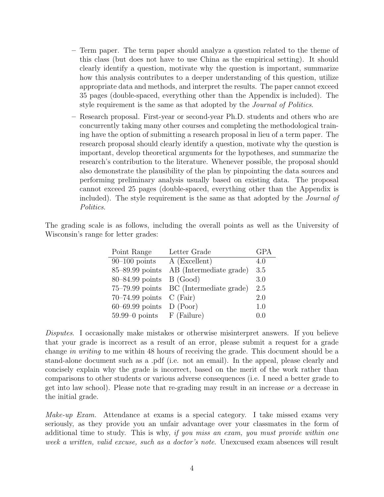- Term paper. The term paper should analyze a question related to the theme of this class (but does not have to use China as the empirical setting). It should clearly identify a question, motivate why the question is important, summarize how this analysis contributes to a deeper understanding of this question, utilize appropriate data and methods, and interpret the results. The paper cannot exceed 35 pages (double-spaced, everything other than the Appendix is included). The style requirement is the same as that adopted by the Journal of Politics.
- Research proposal. First-year or second-year Ph.D. students and others who are concurrently taking many other courses and completing the methodological training have the option of submitting a research proposal in lieu of a term paper. The research proposal should clearly identify a question, motivate why the question is important, develop theoretical arguments for the hypotheses, and summarize the research's contribution to the literature. Whenever possible, the proposal should also demonstrate the plausibility of the plan by pinpointing the data sources and performing preliminary analysis usually based on existing data. The proposal cannot exceed 25 pages (double-spaced, everything other than the Appendix is included). The style requirement is the same as that adopted by the Journal of Politics.

The grading scale is as follows, including the overall points as well as the University of Wisconsin's range for letter grades:

| Point Range         | Letter Grade            | <b>GPA</b> |
|---------------------|-------------------------|------------|
| $90-100$ points     | A (Excellent)           | 4.0        |
| $85 - 89.99$ points | AB (Intermediate grade) | 3.5        |
| $80 - 84.99$ points | B(Good)                 | 3.0        |
| $75-79.99$ points   | BC (Intermediate grade) | 2.5        |
| $70 - 74.99$ points | $C$ (Fair)              | 2.0        |
| $60 - 69.99$ points | $D$ (Poor)              | 1.0        |
| $59.99-0$ points    | F (Failure)             | 0 0        |

Disputes. I occasionally make mistakes or otherwise misinterpret answers. If you believe that your grade is incorrect as a result of an error, please submit a request for a grade change in writing to me within 48 hours of receiving the grade. This document should be a stand-alone document such as a .pdf (i.e. not an email). In the appeal, please clearly and concisely explain why the grade is incorrect, based on the merit of the work rather than comparisons to other students or various adverse consequences (i.e. I need a better grade to get into law school). Please note that re-grading may result in an increase or a decrease in the initial grade.

Make-up Exam. Attendance at exams is a special category. I take missed exams very seriously, as they provide you an unfair advantage over your classmates in the form of additional time to study. This is why, if you miss an exam, you must provide within one week a written, valid excuse, such as a doctor's note. Unexcused exam absences will result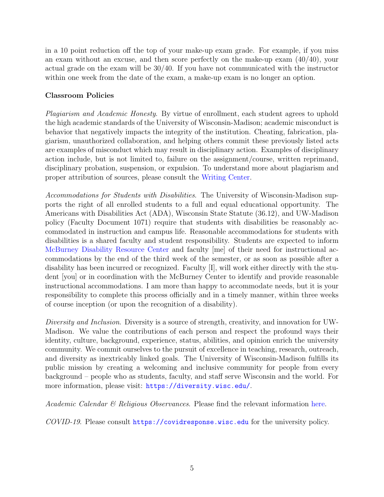in a 10 point reduction off the top of your make-up exam grade. For example, if you miss an exam without an excuse, and then score perfectly on the make-up exam (40/40), your actual grade on the exam will be 30/40. If you have not communicated with the instructor within one week from the date of the exam, a make-up exam is no longer an option.

### Classroom Policies

Plagiarism and Academic Honesty. By virtue of enrollment, each student agrees to uphold the high academic standards of the University of Wisconsin-Madison; academic misconduct is behavior that negatively impacts the integrity of the institution. Cheating, fabrication, plagiarism, unauthorized collaboration, and helping others commit these previously listed acts are examples of misconduct which may result in disciplinary action. Examples of disciplinary action include, but is not limited to, failure on the assignment/course, written reprimand, disciplinary probation, suspension, or expulsion. To understand more about plagiarism and proper attribution of sources, please consult the [Writing Center.](https://writing.wisc.edu/)

Accommodations for Students with Disabilities. The University of Wisconsin-Madison supports the right of all enrolled students to a full and equal educational opportunity. The Americans with Disabilities Act (ADA), Wisconsin State Statute (36.12), and UW-Madison policy (Faculty Document 1071) require that students with disabilities be reasonably accommodated in instruction and campus life. Reasonable accommodations for students with disabilities is a shared faculty and student responsibility. Students are expected to inform [McBurney Disability Resource Center](https://mcburney.wisc.edu/) and faculty [me] of their need for instructional accommodations by the end of the third week of the semester, or as soon as possible after a disability has been incurred or recognized. Faculty [I], will work either directly with the student [you] or in coordination with the McBurney Center to identify and provide reasonable instructional accommodations. I am more than happy to accommodate needs, but it is your responsibility to complete this process officially and in a timely manner, within three weeks of course inception (or upon the recognition of a disability).

Diversity and Inclusion. Diversity is a source of strength, creativity, and innovation for UW-Madison. We value the contributions of each person and respect the profound ways their identity, culture, background, experience, status, abilities, and opinion enrich the university community. We commit ourselves to the pursuit of excellence in teaching, research, outreach, and diversity as inextricably linked goals. The University of Wisconsin-Madison fulfills its public mission by creating a welcoming and inclusive community for people from every background – people who as students, faculty, and staff serve Wisconsin and the world. For more information, please visit: <https://diversity.wisc.edu/>.

Academic Calendar  $\mathcal B$  Religious Observances. Please find the relevant information [here.](https://secfac.wisc.edu/academic-calendar/#religious-observances)

COVID-19. Please consult <https://covidresponse.wisc.edu> for the university policy.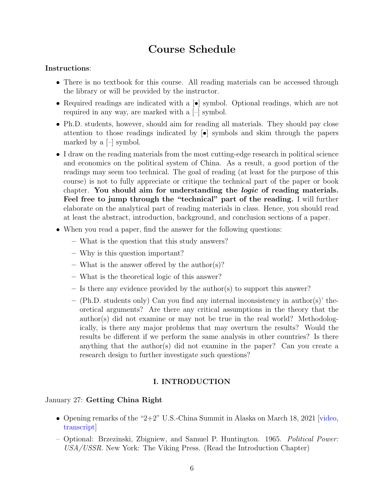# Course Schedule

### Instructions:

- There is no textbook for this course. All reading materials can be accessed through the library or will be provided by the instructor.
- Required readings are indicated with a  $\bullet$  symbol. Optional readings, which are not required in any way, are marked with a [–] symbol.
- Ph.D. students, however, should aim for reading all materials. They should pay close attention to those readings indicated by [•] symbols and skim through the papers marked by a  $\left[-\right]$  symbol.
- I draw on the reading materials from the most cutting-edge research in political science and economics on the political system of China. As a result, a good portion of the readings may seem too technical. The goal of reading (at least for the purpose of this course) is not to fully appreciate or critique the technical part of the paper or book chapter. You should aim for understanding the logic of reading materials. Feel free to jump through the "technical" part of the reading. I will further elaborate on the analytical part of reading materials in class. Hence, you should read at least the abstract, introduction, background, and conclusion sections of a paper.
- When you read a paper, find the answer for the following questions:
	- What is the question that this study answers?
	- Why is this question important?
	- What is the answer offered by the author(s)?
	- What is the theoretical logic of this answer?
	- Is there any evidence provided by the author(s) to support this answer?
	- (Ph.D. students only) Can you find any internal inconsistency in author(s) theoretical arguments? Are there any critical assumptions in the theory that the author(s) did not examine or may not be true in the real world? Methodologically, is there any major problems that may overturn the results? Would the results be different if we perform the same analysis in other countries? Is there anything that the author(s) did not examine in the paper? Can you create a research design to further investigate such questions?

### I. INTRODUCTION

### January 27: Getting China Right

- Opening remarks of the "2+2" U.S.-China Summit in Alaska on March 18, 2021 [\[video,](https://www.youtube.com/watch?v=FwbIeCf19jM) [transcript\]](https://www.state.gov/secretary-antony-j-blinken-national-security-advisor-jake-sullivan-chinese-director-of-the-office-of-the-central-commission-for-foreign-affairs-yang-jiechi-and-chinese-state-councilor-wang-yi-at-th/)
- Optional: Brzezinski, Zbigniew, and Samuel P. Huntington. 1965. Political Power: USA/USSR. New York: The Viking Press. (Read the Introduction Chapter)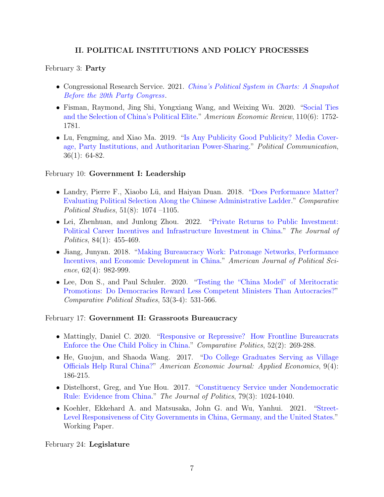# II. POLITICAL INSTITUTIONS AND POLICY PROCESSES

### February 3: Party

- Congressional Research Service. 2021. [China's Political System in Charts: A Snapshot](https://crsreports.congress.gov/product/pdf/R/R46977) [Before the 20th Party Congress](https://crsreports.congress.gov/product/pdf/R/R46977).
- Fisman, Raymond, Jing Shi, Yongxiang Wang, and Weixing Wu. 2020. ["Social Ties](https://doi.org/10.1257/aer.20180841) [and the Selection of China's Political Elite.](https://doi.org/10.1257/aer.20180841)" American Economic Review, 110(6): 1752- 1781.
- Lu, Fengming, and Xiao Ma. 2019. ["Is Any Publicity Good Publicity? Media Cover](https://doi.org/10.1080/10584609.2018.1490836)[age, Party Institutions, and Authoritarian Power-Sharing.](https://doi.org/10.1080/10584609.2018.1490836)" Political Communication, 36(1): 64-82.

### February 10: Government I: Leadership

- Landry, Pierre F., Xiaobo Lü, and Haiyan Duan. 2018. ["Does Performance Matter?](https://doi.org/10.1177/0010414017730078) [Evaluating Political Selection Along the Chinese Administrative Ladder.](https://doi.org/10.1177/0010414017730078)" Comparative Political Studies, 51(8): 1074 –1105.
- Lei, Zhenhuan, and Junlong Zhou. 2022. ["Private Returns to Public Investment:](https://doi.org/10.1086/715170) [Political Career Incentives and Infrastructure Investment in China.](https://doi.org/10.1086/715170)" The Journal of *Politics*, 84(1): 455-469.
- Jiang, Junyan. 2018. ["Making Bureaucracy Work: Patronage Networks, Performance](https://doi.org/10.1111/ajps.12394) [Incentives, and Economic Development in China.](https://doi.org/10.1111/ajps.12394)" American Journal of Political Science, 62(4): 982-999.
- Lee, Don S., and Paul Schuler. 2020. ["Testing the "China Model" of Meritocratic](https://doi.org/10.1177/0010414019858962) [Promotions: Do Democracies Reward Less Competent Ministers Than Autocracies?"](https://doi.org/10.1177/0010414019858962) Comparative Political Studies, 53(3-4): 531-566.

# February 17: Government II: Grassroots Bureaucracy

- Mattingly, Daniel C. 2020. ["Responsive or Repressive? How Frontline Bureaucrats](https://doi.org/10.5129/001041520X15668632057756) [Enforce the One Child Policy in China.](https://doi.org/10.5129/001041520X15668632057756)" Comparative Politics, 52(2): 269-288.
- He, Guojun, and Shaoda Wang. 2017. ["Do College Graduates Serving as Village](https://www.aeaweb.org/articles?id=10.1257/app.20160079) [Officials Help Rural China?"](https://www.aeaweb.org/articles?id=10.1257/app.20160079) American Economic Journal: Applied Economics, 9(4): 186-215.
- Distelhorst, Greg, and Yue Hou. 2017. ["Constituency Service under Nondemocratic](https://doi.org/10.1086/690948) [Rule: Evidence from China.](https://doi.org/10.1086/690948)" The Journal of Politics, 79(3): 1024-1040.
- Koehler, Ekkehard A. and Matsusaka, John G. and Wu, Yanhui. 2021. ["Street-](http://dx.doi.org/10.2139/ssrn.3907862)[Level Responsiveness of City Governments in China, Germany, and the United States.](http://dx.doi.org/10.2139/ssrn.3907862)" Working Paper.

February 24: Legislature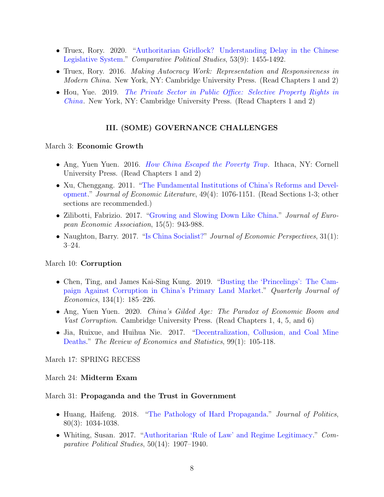- Truex, Rory. 2020. ["Authoritarian Gridlock? Understanding Delay in the Chinese](https://doi.org/10.1177/0010414018758766) [Legislative System.](https://doi.org/10.1177/0010414018758766)" Comparative Political Studies, 53(9): 1455-1492.
- Truex, Rory. 2016. Making Autocracy Work: Representation and Responsiveness in Modern China. New York, NY: Cambridge University Press. (Read Chapters 1 and 2)
- Hou, Yue. 2019. [The Private Sector in Public Office: Selective Property Rights in](https://search.library.wisc.edu/catalog/9913163550602121) [China](https://search.library.wisc.edu/catalog/9913163550602121). New York, NY: Cambridge University Press. (Read Chapters 1 and 2)

### III. (SOME) GOVERNANCE CHALLENGES

#### March 3: Economic Growth

- Ang, Yuen Yuen. 2016. [How China Escaped the Poverty Trap](https://search.library.wisc.edu/catalog/9912244156102121). Ithaca, NY: Cornell University Press. (Read Chapters 1 and 2)
- Xu, Chenggang. 2011. ["The Fundamental Institutions of China's Reforms and Devel](https://www.aeaweb.org/articles?id=10.1257/jel.49.4.1076)[opment.](https://www.aeaweb.org/articles?id=10.1257/jel.49.4.1076)" Journal of Economic Literature, 49(4): 1076-1151. (Read Sections 1-3; other sections are recommended.)
- Zilibotti, Fabrizio. 2017. ["Growing and Slowing Down Like China.](https://academic.oup.com/jeea/article-abstract/15/5/943/3982423)" *Journal of Euro*pean Economic Association, 15(5): 943-988.
- Naughton, Barry. 2017. ["Is China Socialist?"](https://www.aeaweb.org/articles?id=10.1257/jep.31.1.3) Journal of Economic Perspectives, 31(1): 3–24.

#### March 10: Corruption

- Chen, Ting, and James Kai-Sing Kung. 2019. ["Busting the 'Princelings': The Cam](https://doi.org/10.1093/qje/qjy027)[paign Against Corruption in China's Primary Land Market.](https://doi.org/10.1093/qje/qjy027)" Quarterly Journal of Economics, 134(1): 185–226.
- Ang, Yuen Yuen. 2020. *China's Gilded Age: The Paradox of Economic Boom and* Vast Corruption. Cambridge University Press. (Read Chapters 1, 4, 5, and 6)
- Jia, Ruixue, and Huihua Nie. 2017. ["Decentralization, Collusion, and Coal Mine](https://doi.org/10.1162/REST_a_00563) [Deaths.](https://doi.org/10.1162/REST_a_00563)" The Review of Economics and Statistics, 99(1): 105-118.

#### March 17: SPRING RECESS

#### March 24: Midterm Exam

#### March 31: Propaganda and the Trust in Government

- Huang, Haifeng. 2018. ["The Pathology of Hard Propaganda.](https://doi.org/10.1086/696863)" Journal of Politics, 80(3): 1034-1038.
- Whiting, Susan. 2017. ["Authoritarian 'Rule of Law' and Regime Legitimacy.](https://doi.org/10.1177/0010414016688008)" Comparative Political Studies, 50(14): 1907–1940.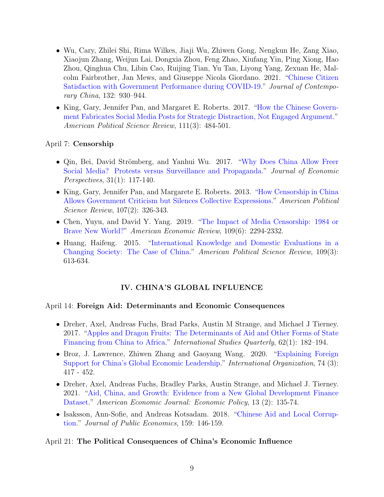- Wu, Cary, Zhilei Shi, Rima Wilkes, Jiaji Wu, Zhiwen Gong, Nengkun He, Zang Xiao, Xiaojun Zhang, Weijun Lai, Dongxia Zhou, Feng Zhao, Xiufang Yin, Ping Xiong, Hao Zhou, Qinghua Chu, Libin Cao, Ruijing Tian, Yu Tan, Liyong Yang, Zexuan He, Malcolm Fairbrother, Jan Mews, and Giuseppe Nicola Giordano. 2021. ["Chinese Citizen](https://doi.org/10.1080/10670564.2021.1893558) [Satisfaction with Government Performance during COVID-19.](https://doi.org/10.1080/10670564.2021.1893558)" Journal of Contemporary China, 132: 930–944.
- King, Gary, Jennifer Pan, and Margaret E. Roberts. 2017. ["How the Chinese Govern](https://doi.org/10.1017/S0003055417000144)[ment Fabricates Social Media Posts for Strategic Distraction, Not Engaged Argument.](https://doi.org/10.1017/S0003055417000144)" American Political Science Review, 111(3): 484-501.

# April 7: Censorship

- Qin, Bei, David Strömberg, and Yanhui Wu. 2017. ["Why Does China Allow Freer](https://www.aeaweb.org/articles?id=10.1257/jep.31.1.117) [Social Media? Protests versus Surveillance and Propaganda.](https://www.aeaweb.org/articles?id=10.1257/jep.31.1.117)" Journal of Economic Perspectives, 31(1): 117-140.
- King, Gary, Jennifer Pan, and Margarete E. Roberts. 2013. ["How Censorship in China](https://doi.org/10.1017/S0003055413000014) [Allows Government Criticism but Silences Collective Expressions.](https://doi.org/10.1017/S0003055413000014)" American Political Science Review, 107(2): 326-343.
- Chen, Yuyu, and David Y. Yang. 2019. ["The Impact of Media Censorship: 1984 or](https://www.aeaweb.org/articles?id=10.1257/aer.20171765) [Brave New World?"](https://www.aeaweb.org/articles?id=10.1257/aer.20171765) American Economic Review, 109(6): 2294-2332.
- Huang, Haifeng. 2015. ["International Knowledge and Domestic Evaluations in a](https://doi.org/10.1017/S000305541500026X) [Changing Society: The Case of China.](https://doi.org/10.1017/S000305541500026X)" American Political Science Review, 109(3): 613-634.

# IV. CHINA'S GLOBAL INFLUENCE

# April 14: Foreign Aid: Determinants and Economic Consequences

- Dreher, Axel, Andreas Fuchs, Brad Parks, Austin M Strange, and Michael J Tierney. 2017. ["Apples and Dragon Fruits: The Determinants of Aid and Other Forms of State](https://doi.org/10.1093/isq/sqx052) [Financing from China to Africa.](https://doi.org/10.1093/isq/sqx052)" International Studies Quarterly, 62(1): 182–194.
- Broz, J. Lawrence, Zhiwen Zhang and Gaoyang Wang. 2020. ["Explaining Foreign](https://doi.org/10.1017/S0020818320000120) [Support for China's Global Economic Leadership.](https://doi.org/10.1017/S0020818320000120)" International Organization, 74 (3): 417 - 452.
- Dreher, Axel, Andreas Fuchs, Bradley Parks, Austin Strange, and Michael J. Tierney. 2021. ["Aid, China, and Growth: Evidence from a New Global Development Finance](https://doi.org/10.1257/pol.20180631) [Dataset.](https://doi.org/10.1257/pol.20180631)" American Economic Journal: Economic Policy, 13 (2): 135-74.
- Isaksson, Ann-Sofie, and Andreas Kotsadam. 2018. ["Chinese Aid and Local Corrup](https://doi.org/10.1016/j.jpubeco.2018.01.002)[tion.](https://doi.org/10.1016/j.jpubeco.2018.01.002)" Journal of Public Economics, 159: 146-159.

# April 21: The Political Consequences of China's Economic Influence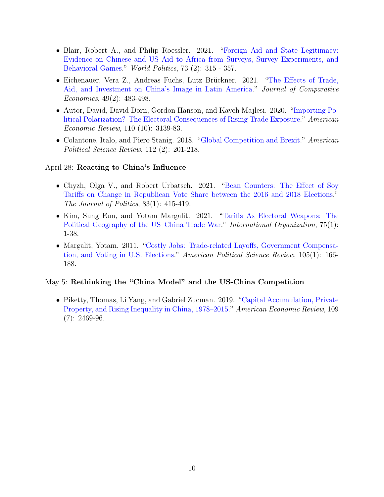- Blair, Robert A., and Philip Roessler. 2021. ["Foreign Aid and State Legitimacy:](https://doi.org/10.1017/S004388712000026X) [Evidence on Chinese and US Aid to Africa from Surveys, Survey Experiments, and](https://doi.org/10.1017/S004388712000026X) [Behavioral Games.](https://doi.org/10.1017/S004388712000026X)" World Politics, 73 (2): 315 - 357.
- Eichenauer, Vera Z., Andreas Fuchs, Lutz Brückner. 2021. ["The Effects of Trade,](https://doi.org/10.1016/j.jce.2020.08.005) [Aid, and Investment on China's Image in Latin America.](https://doi.org/10.1016/j.jce.2020.08.005)" Journal of Comparative Economics, 49(2): 483-498.
- Autor, David, David Dorn, Gordon Hanson, and Kaveh Majlesi. 2020. ["Importing Po](https://doi.org/10.1257/aer.20170011)[litical Polarization? The Electoral Consequences of Rising Trade Exposure.](https://doi.org/10.1257/aer.20170011)" American Economic Review, 110 (10): 3139-83.
- Colantone, Italo, and Piero Stanig. 2018. ["Global Competition and Brexit.](https://doi.org/10.1017/S0003055417000685)" American Political Science Review, 112 (2): 201-218.

# April 28: Reacting to China's Influence

- Chyzh, Olga V., and Robert Urbatsch. 2021. ["Bean Counters: The Effect of Soy](https://doi.org/10.1086/709434) [Tariffs on Change in Republican Vote Share between the 2016 and 2018 Elections.](https://doi.org/10.1086/709434)" The Journal of Politics, 83(1): 415-419.
- Kim, Sung Eun, and Yotam Margalit. 2021. ["Tariffs As Electoral Weapons: The](https://doi.org/10.1017/S0020818320000612) [Political Geography of the US–China Trade War.](https://doi.org/10.1017/S0020818320000612)" International Organization, 75(1): 1-38.
- Margalit, Yotam. 2011. ["Costly Jobs: Trade-related Layoffs, Government Compensa](https://doi.org/10.1017/S000305541000050X)[tion, and Voting in U.S. Elections.](https://doi.org/10.1017/S000305541000050X)" American Political Science Review, 105(1): 166- 188.

# May 5: Rethinking the "China Model" and the US-China Competition

• Piketty, Thomas, Li Yang, and Gabriel Zucman. 2019. ["Capital Accumulation, Private](https://www.aeaweb.org/articles?id=10.1257/aer.20170973) [Property, and Rising Inequality in China, 1978–2015.](https://www.aeaweb.org/articles?id=10.1257/aer.20170973)" American Economic Review, 109 (7): 2469-96.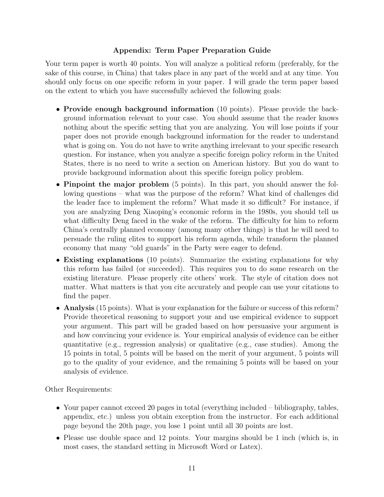# Appendix: Term Paper Preparation Guide

Your term paper is worth 40 points. You will analyze a political reform (preferably, for the sake of this course, in China) that takes place in any part of the world and at any time. You should only focus on one specific reform in your paper. I will grade the term paper based on the extent to which you have successfully achieved the following goals:

- Provide enough background information (10 points). Please provide the background information relevant to your case. You should assume that the reader knows nothing about the specific setting that you are analyzing. You will lose points if your paper does not provide enough background information for the reader to understand what is going on. You do not have to write anything irrelevant to your specific research question. For instance, when you analyze a specific foreign policy reform in the United States, there is no need to write a section on American history. But you do want to provide background information about this specific foreign policy problem.
- Pinpoint the major problem (5 points). In this part, you should answer the following questions – what was the purpose of the reform? What kind of challenges did the leader face to implement the reform? What made it so difficult? For instance, if you are analyzing Deng Xiaoping's economic reform in the 1980s, you should tell us what difficulty Deng faced in the wake of the reform. The difficulty for him to reform China's centrally planned economy (among many other things) is that he will need to persuade the ruling elites to support his reform agenda, while transform the planned economy that many "old guards" in the Party were eager to defend.
- Existing explanations (10 points). Summarize the existing explanations for why this reform has failed (or succeeded). This requires you to do some research on the existing literature. Please properly cite others' work. The style of citation does not matter. What matters is that you cite accurately and people can use your citations to find the paper.
- Analysis (15 points). What is your explanation for the failure or success of this reform? Provide theoretical reasoning to support your and use empirical evidence to support your argument. This part will be graded based on how persuasive your argument is and how convincing your evidence is. Your empirical analysis of evidence can be either quantitative (e.g., regression analysis) or qualitative (e.g., case studies). Among the 15 points in total, 5 points will be based on the merit of your argument, 5 points will go to the quality of your evidence, and the remaining 5 points will be based on your analysis of evidence.

Other Requirements:

- Your paper cannot exceed 20 pages in total (everything included bibliography, tables, appendix, etc.) unless you obtain exception from the instructor. For each additional page beyond the 20th page, you lose 1 point until all 30 points are lost.
- Please use double space and 12 points. Your margins should be 1 inch (which is, in most cases, the standard setting in Microsoft Word or Latex).